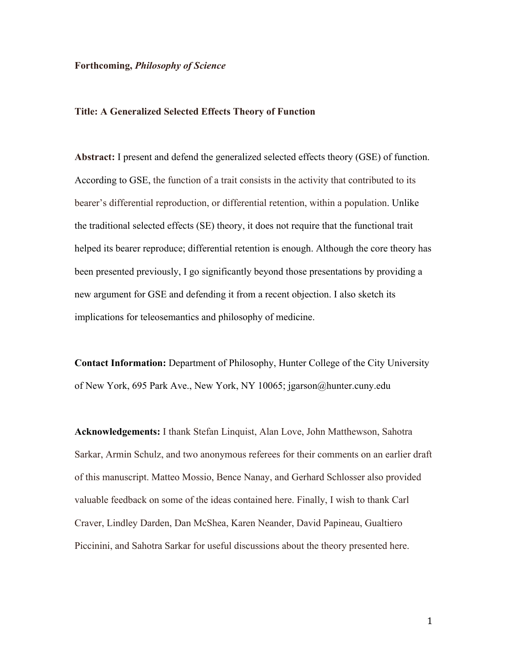## **Forthcoming,** *Philosophy of Science*

# **Title: A Generalized Selected Effects Theory of Function**

**Abstract:** I present and defend the generalized selected effects theory (GSE) of function. According to GSE, the function of a trait consists in the activity that contributed to its bearer's differential reproduction, or differential retention, within a population. Unlike the traditional selected effects (SE) theory, it does not require that the functional trait helped its bearer reproduce; differential retention is enough. Although the core theory has been presented previously, I go significantly beyond those presentations by providing a new argument for GSE and defending it from a recent objection. I also sketch its implications for teleosemantics and philosophy of medicine.

**Contact Information:** Department of Philosophy, Hunter College of the City University of New York, 695 Park Ave., New York, NY 10065; jgarson@hunter.cuny.edu

**Acknowledgements:** I thank Stefan Linquist, Alan Love, John Matthewson, Sahotra Sarkar, Armin Schulz, and two anonymous referees for their comments on an earlier draft of this manuscript. Matteo Mossio, Bence Nanay, and Gerhard Schlosser also provided valuable feedback on some of the ideas contained here. Finally, I wish to thank Carl Craver, Lindley Darden, Dan McShea, Karen Neander, David Papineau, Gualtiero Piccinini, and Sahotra Sarkar for useful discussions about the theory presented here.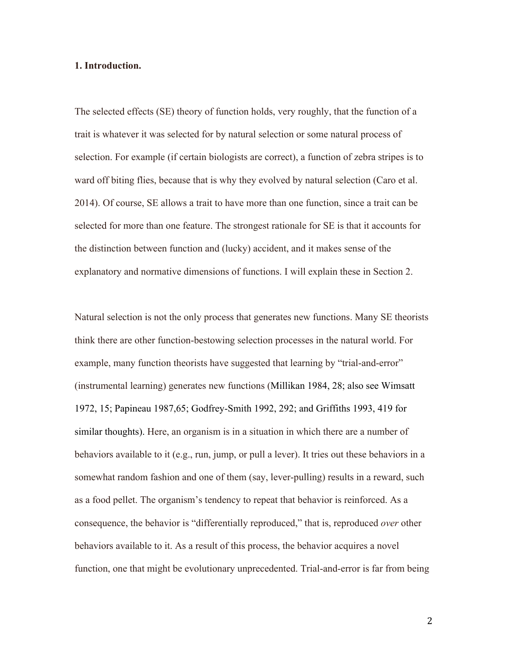## **1. Introduction.**

The selected effects (SE) theory of function holds, very roughly, that the function of a trait is whatever it was selected for by natural selection or some natural process of selection. For example (if certain biologists are correct), a function of zebra stripes is to ward off biting flies, because that is why they evolved by natural selection (Caro et al. 2014). Of course, SE allows a trait to have more than one function, since a trait can be selected for more than one feature. The strongest rationale for SE is that it accounts for the distinction between function and (lucky) accident, and it makes sense of the explanatory and normative dimensions of functions. I will explain these in Section 2.

Natural selection is not the only process that generates new functions. Many SE theorists think there are other function-bestowing selection processes in the natural world. For example, many function theorists have suggested that learning by "trial-and-error" (instrumental learning) generates new functions (Millikan 1984, 28; also see Wimsatt 1972, 15; Papineau 1987,65; Godfrey-Smith 1992, 292; and Griffiths 1993, 419 for similar thoughts). Here, an organism is in a situation in which there are a number of behaviors available to it (e.g., run, jump, or pull a lever). It tries out these behaviors in a somewhat random fashion and one of them (say, lever-pulling) results in a reward, such as a food pellet. The organism's tendency to repeat that behavior is reinforced. As a consequence, the behavior is "differentially reproduced," that is, reproduced *over* other behaviors available to it. As a result of this process, the behavior acquires a novel function, one that might be evolutionary unprecedented. Trial-and-error is far from being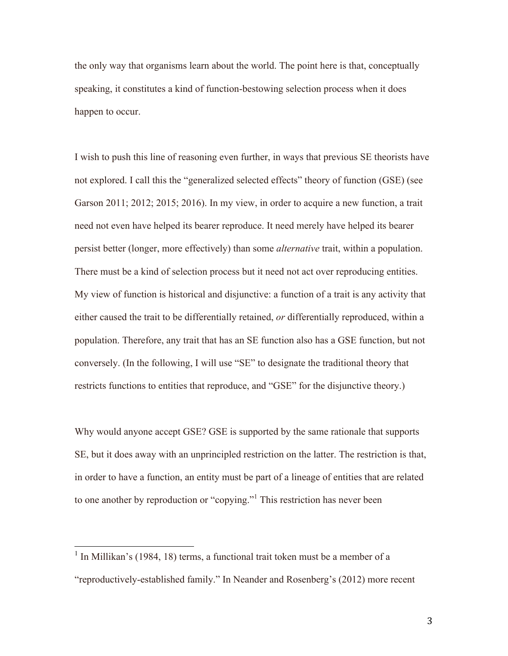the only way that organisms learn about the world. The point here is that, conceptually speaking, it constitutes a kind of function-bestowing selection process when it does happen to occur.

I wish to push this line of reasoning even further, in ways that previous SE theorists have not explored. I call this the "generalized selected effects" theory of function (GSE) (see Garson 2011; 2012; 2015; 2016). In my view, in order to acquire a new function, a trait need not even have helped its bearer reproduce. It need merely have helped its bearer persist better (longer, more effectively) than some *alternative* trait, within a population. There must be a kind of selection process but it need not act over reproducing entities. My view of function is historical and disjunctive: a function of a trait is any activity that either caused the trait to be differentially retained, *or* differentially reproduced, within a population. Therefore, any trait that has an SE function also has a GSE function, but not conversely. (In the following, I will use "SE" to designate the traditional theory that restricts functions to entities that reproduce, and "GSE" for the disjunctive theory.)

Why would anyone accept GSE? GSE is supported by the same rationale that supports SE, but it does away with an unprincipled restriction on the latter. The restriction is that, in order to have a function, an entity must be part of a lineage of entities that are related to one another by reproduction or "copying."1 This restriction has never been

 $1$  In Millikan's (1984, 18) terms, a functional trait token must be a member of a

<sup>&</sup>quot;reproductively-established family." In Neander and Rosenberg's (2012) more recent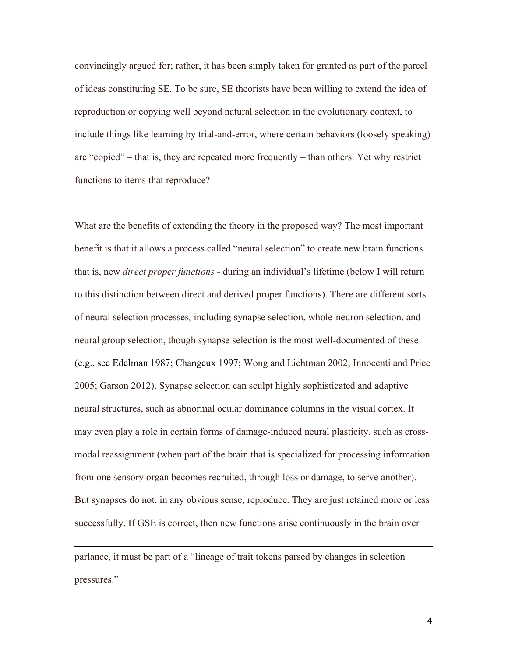convincingly argued for; rather, it has been simply taken for granted as part of the parcel of ideas constituting SE. To be sure, SE theorists have been willing to extend the idea of reproduction or copying well beyond natural selection in the evolutionary context, to include things like learning by trial-and-error, where certain behaviors (loosely speaking) are "copied" – that is, they are repeated more frequently – than others. Yet why restrict functions to items that reproduce?

What are the benefits of extending the theory in the proposed way? The most important benefit is that it allows a process called "neural selection" to create new brain functions – that is, new *direct proper functions -* during an individual's lifetime (below I will return to this distinction between direct and derived proper functions). There are different sorts of neural selection processes, including synapse selection, whole-neuron selection, and neural group selection, though synapse selection is the most well-documented of these (e.g., see Edelman 1987; Changeux 1997; Wong and Lichtman 2002; Innocenti and Price 2005; Garson 2012). Synapse selection can sculpt highly sophisticated and adaptive neural structures, such as abnormal ocular dominance columns in the visual cortex. It may even play a role in certain forms of damage-induced neural plasticity, such as crossmodal reassignment (when part of the brain that is specialized for processing information from one sensory organ becomes recruited, through loss or damage, to serve another). But synapses do not, in any obvious sense, reproduce. They are just retained more or less successfully. If GSE is correct, then new functions arise continuously in the brain over

parlance, it must be part of a "lineage of trait tokens parsed by changes in selection pressures."

<u> 1989 - Andrea Santa Andrea Andrea Andrea Andrea Andrea Andrea Andrea Andrea Andrea Andrea Andrea Andrea Andr</u>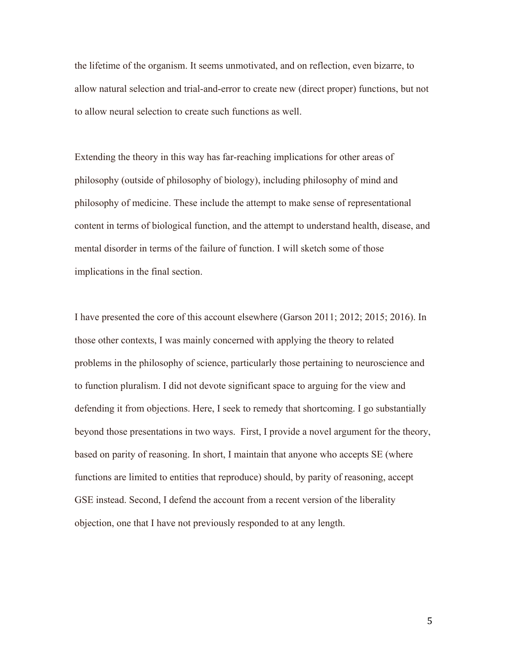the lifetime of the organism. It seems unmotivated, and on reflection, even bizarre, to allow natural selection and trial-and-error to create new (direct proper) functions, but not to allow neural selection to create such functions as well.

Extending the theory in this way has far-reaching implications for other areas of philosophy (outside of philosophy of biology), including philosophy of mind and philosophy of medicine. These include the attempt to make sense of representational content in terms of biological function, and the attempt to understand health, disease, and mental disorder in terms of the failure of function. I will sketch some of those implications in the final section.

I have presented the core of this account elsewhere (Garson 2011; 2012; 2015; 2016). In those other contexts, I was mainly concerned with applying the theory to related problems in the philosophy of science, particularly those pertaining to neuroscience and to function pluralism. I did not devote significant space to arguing for the view and defending it from objections. Here, I seek to remedy that shortcoming. I go substantially beyond those presentations in two ways. First, I provide a novel argument for the theory, based on parity of reasoning. In short, I maintain that anyone who accepts SE (where functions are limited to entities that reproduce) should, by parity of reasoning, accept GSE instead. Second, I defend the account from a recent version of the liberality objection, one that I have not previously responded to at any length.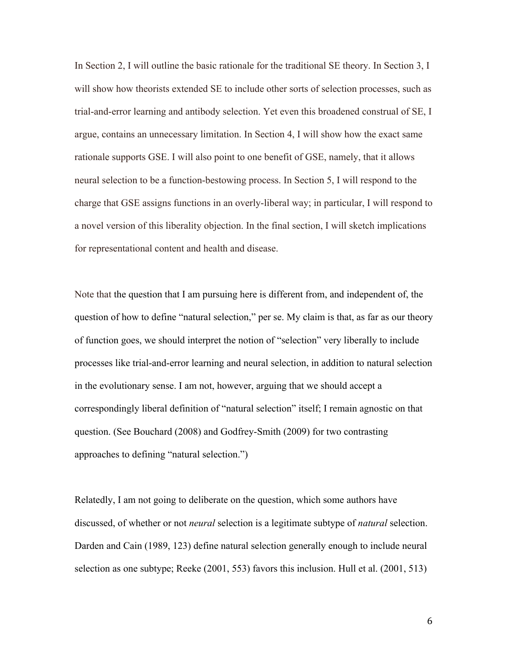In Section 2, I will outline the basic rationale for the traditional SE theory. In Section 3, I will show how theorists extended SE to include other sorts of selection processes, such as trial-and-error learning and antibody selection. Yet even this broadened construal of SE, I argue, contains an unnecessary limitation. In Section 4, I will show how the exact same rationale supports GSE. I will also point to one benefit of GSE, namely, that it allows neural selection to be a function-bestowing process. In Section 5, I will respond to the charge that GSE assigns functions in an overly-liberal way; in particular, I will respond to a novel version of this liberality objection. In the final section, I will sketch implications for representational content and health and disease.

Note that the question that I am pursuing here is different from, and independent of, the question of how to define "natural selection," per se. My claim is that, as far as our theory of function goes, we should interpret the notion of "selection" very liberally to include processes like trial-and-error learning and neural selection, in addition to natural selection in the evolutionary sense. I am not, however, arguing that we should accept a correspondingly liberal definition of "natural selection" itself; I remain agnostic on that question. (See Bouchard (2008) and Godfrey-Smith (2009) for two contrasting approaches to defining "natural selection.")

Relatedly, I am not going to deliberate on the question, which some authors have discussed, of whether or not *neural* selection is a legitimate subtype of *natural* selection. Darden and Cain (1989, 123) define natural selection generally enough to include neural selection as one subtype; Reeke (2001, 553) favors this inclusion. Hull et al. (2001, 513)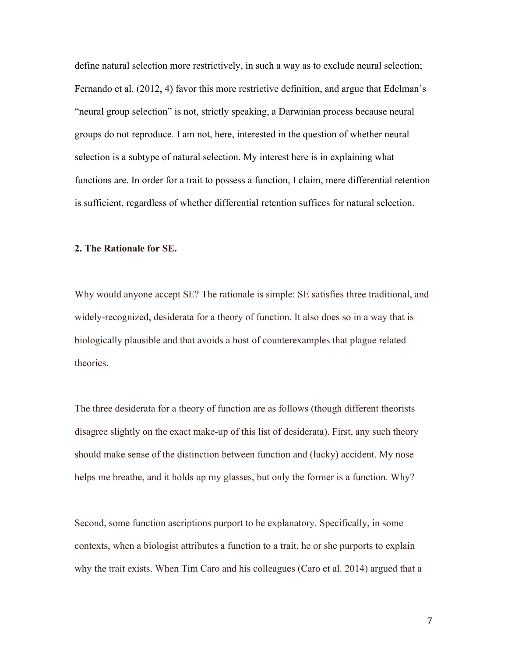define natural selection more restrictively, in such a way as to exclude neural selection; Fernando et al. (2012, 4) favor this more restrictive definition, and argue that Edelman's "neural group selection" is not, strictly speaking, a Darwinian process because neural groups do not reproduce. I am not, here, interested in the question of whether neural selection is a subtype of natural selection. My interest here is in explaining what functions are. In order for a trait to possess a function, I claim, mere differential retention is sufficient, regardless of whether differential retention suffices for natural selection.

# **2. The Rationale for SE.**

Why would anyone accept SE? The rationale is simple: SE satisfies three traditional, and widely-recognized, desiderata for a theory of function. It also does so in a way that is biologically plausible and that avoids a host of counterexamples that plague related theories.

The three desiderata for a theory of function are as follows (though different theorists disagree slightly on the exact make-up of this list of desiderata). First, any such theory should make sense of the distinction between function and (lucky) accident. My nose helps me breathe, and it holds up my glasses, but only the former is a function. Why?

Second, some function ascriptions purport to be explanatory. Specifically, in some contexts, when a biologist attributes a function to a trait, he or she purports to explain why the trait exists. When Tim Caro and his colleagues (Caro et al. 2014) argued that a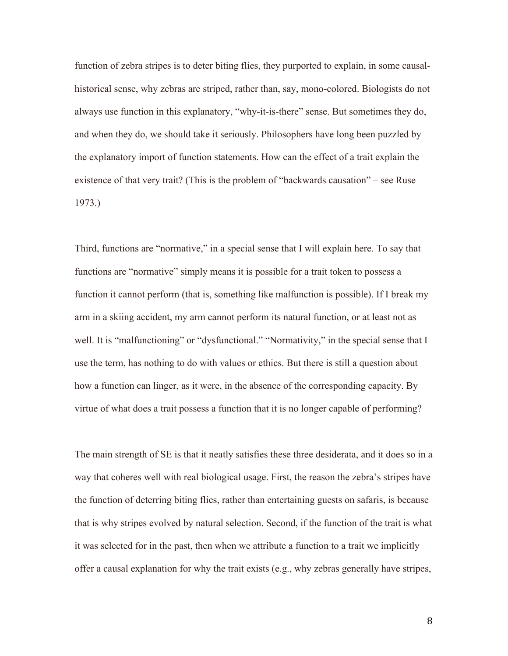function of zebra stripes is to deter biting flies, they purported to explain, in some causalhistorical sense, why zebras are striped, rather than, say, mono-colored. Biologists do not always use function in this explanatory, "why-it-is-there" sense. But sometimes they do, and when they do, we should take it seriously. Philosophers have long been puzzled by the explanatory import of function statements. How can the effect of a trait explain the existence of that very trait? (This is the problem of "backwards causation" – see Ruse 1973.)

Third, functions are "normative," in a special sense that I will explain here. To say that functions are "normative" simply means it is possible for a trait token to possess a function it cannot perform (that is, something like malfunction is possible). If I break my arm in a skiing accident, my arm cannot perform its natural function, or at least not as well. It is "malfunctioning" or "dysfunctional." "Normativity," in the special sense that I use the term, has nothing to do with values or ethics. But there is still a question about how a function can linger, as it were, in the absence of the corresponding capacity. By virtue of what does a trait possess a function that it is no longer capable of performing?

The main strength of SE is that it neatly satisfies these three desiderata, and it does so in a way that coheres well with real biological usage. First, the reason the zebra's stripes have the function of deterring biting flies, rather than entertaining guests on safaris, is because that is why stripes evolved by natural selection. Second, if the function of the trait is what it was selected for in the past, then when we attribute a function to a trait we implicitly offer a causal explanation for why the trait exists (e.g., why zebras generally have stripes,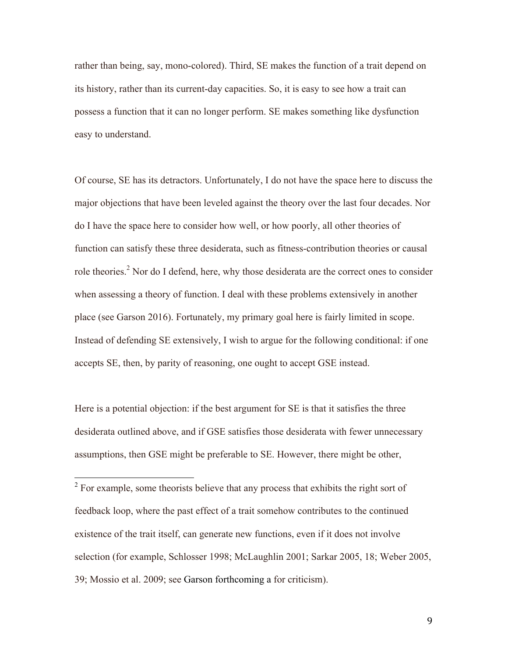rather than being, say, mono-colored). Third, SE makes the function of a trait depend on its history, rather than its current-day capacities. So, it is easy to see how a trait can possess a function that it can no longer perform. SE makes something like dysfunction easy to understand.

Of course, SE has its detractors. Unfortunately, I do not have the space here to discuss the major objections that have been leveled against the theory over the last four decades. Nor do I have the space here to consider how well, or how poorly, all other theories of function can satisfy these three desiderata, such as fitness-contribution theories or causal role theories.<sup>2</sup> Nor do I defend, here, why those desiderata are the correct ones to consider when assessing a theory of function. I deal with these problems extensively in another place (see Garson 2016). Fortunately, my primary goal here is fairly limited in scope. Instead of defending SE extensively, I wish to argue for the following conditional: if one accepts SE, then, by parity of reasoning, one ought to accept GSE instead.

Here is a potential objection: if the best argument for SE is that it satisfies the three desiderata outlined above, and if GSE satisfies those desiderata with fewer unnecessary assumptions, then GSE might be preferable to SE. However, there might be other,

 $2^2$  For example, some theorists believe that any process that exhibits the right sort of feedback loop, where the past effect of a trait somehow contributes to the continued existence of the trait itself, can generate new functions, even if it does not involve selection (for example, Schlosser 1998; McLaughlin 2001; Sarkar 2005, 18; Weber 2005, 39; Mossio et al. 2009; see Garson forthcoming a for criticism).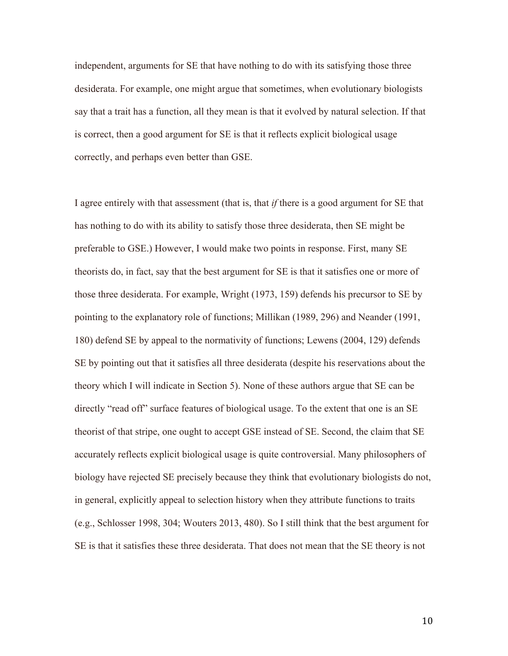independent, arguments for SE that have nothing to do with its satisfying those three desiderata. For example, one might argue that sometimes, when evolutionary biologists say that a trait has a function, all they mean is that it evolved by natural selection. If that is correct, then a good argument for SE is that it reflects explicit biological usage correctly, and perhaps even better than GSE.

I agree entirely with that assessment (that is, that *if* there is a good argument for SE that has nothing to do with its ability to satisfy those three desiderata, then SE might be preferable to GSE.) However, I would make two points in response. First, many SE theorists do, in fact, say that the best argument for SE is that it satisfies one or more of those three desiderata. For example, Wright (1973, 159) defends his precursor to SE by pointing to the explanatory role of functions; Millikan (1989, 296) and Neander (1991, 180) defend SE by appeal to the normativity of functions; Lewens (2004, 129) defends SE by pointing out that it satisfies all three desiderata (despite his reservations about the theory which I will indicate in Section 5). None of these authors argue that SE can be directly "read off" surface features of biological usage. To the extent that one is an SE theorist of that stripe, one ought to accept GSE instead of SE. Second, the claim that SE accurately reflects explicit biological usage is quite controversial. Many philosophers of biology have rejected SE precisely because they think that evolutionary biologists do not, in general, explicitly appeal to selection history when they attribute functions to traits (e.g., Schlosser 1998, 304; Wouters 2013, 480). So I still think that the best argument for SE is that it satisfies these three desiderata. That does not mean that the SE theory is not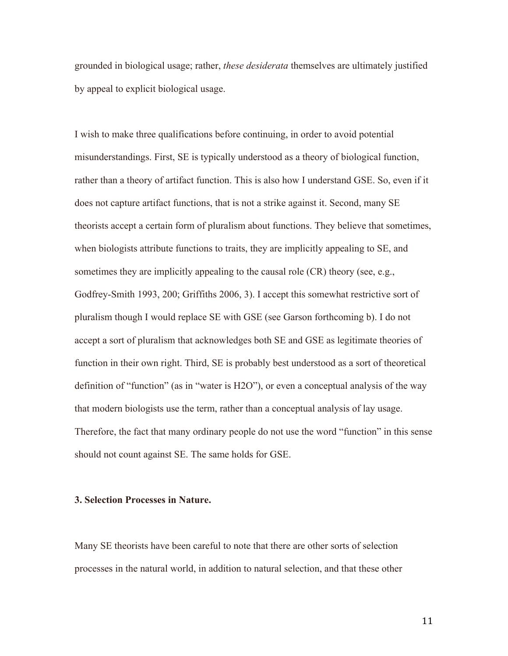grounded in biological usage; rather, *these desiderata* themselves are ultimately justified by appeal to explicit biological usage.

I wish to make three qualifications before continuing, in order to avoid potential misunderstandings. First, SE is typically understood as a theory of biological function, rather than a theory of artifact function. This is also how I understand GSE. So, even if it does not capture artifact functions, that is not a strike against it. Second, many SE theorists accept a certain form of pluralism about functions. They believe that sometimes, when biologists attribute functions to traits, they are implicitly appealing to SE, and sometimes they are implicitly appealing to the causal role (CR) theory (see, e.g., Godfrey-Smith 1993, 200; Griffiths 2006, 3). I accept this somewhat restrictive sort of pluralism though I would replace SE with GSE (see Garson forthcoming b). I do not accept a sort of pluralism that acknowledges both SE and GSE as legitimate theories of function in their own right. Third, SE is probably best understood as a sort of theoretical definition of "function" (as in "water is H2O"), or even a conceptual analysis of the way that modern biologists use the term, rather than a conceptual analysis of lay usage. Therefore, the fact that many ordinary people do not use the word "function" in this sense should not count against SE. The same holds for GSE.

# **3. Selection Processes in Nature.**

Many SE theorists have been careful to note that there are other sorts of selection processes in the natural world, in addition to natural selection, and that these other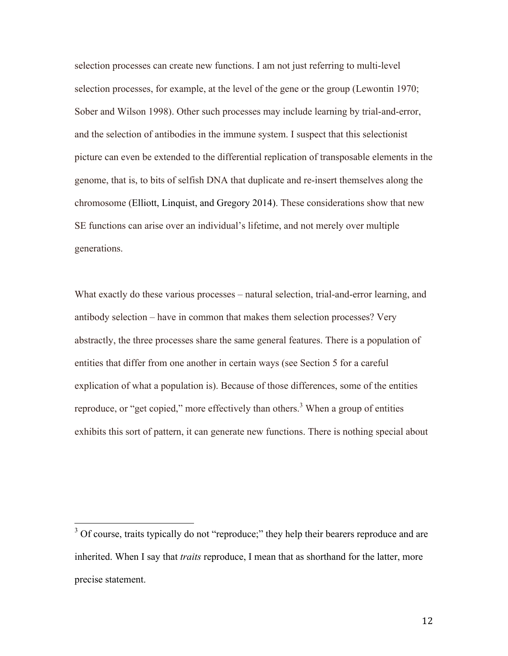selection processes can create new functions. I am not just referring to multi-level selection processes, for example, at the level of the gene or the group (Lewontin 1970; Sober and Wilson 1998). Other such processes may include learning by trial-and-error, and the selection of antibodies in the immune system. I suspect that this selectionist picture can even be extended to the differential replication of transposable elements in the genome, that is, to bits of selfish DNA that duplicate and re-insert themselves along the chromosome (Elliott, Linquist, and Gregory 2014). These considerations show that new SE functions can arise over an individual's lifetime, and not merely over multiple generations.

What exactly do these various processes – natural selection, trial-and-error learning, and antibody selection – have in common that makes them selection processes? Very abstractly, the three processes share the same general features. There is a population of entities that differ from one another in certain ways (see Section 5 for a careful explication of what a population is). Because of those differences, some of the entities reproduce, or "get copied," more effectively than others.<sup>3</sup> When a group of entities exhibits this sort of pattern, it can generate new functions. There is nothing special about

<sup>&</sup>lt;sup>3</sup> Of course, traits typically do not "reproduce;" they help their bearers reproduce and are inherited. When I say that *traits* reproduce, I mean that as shorthand for the latter, more precise statement.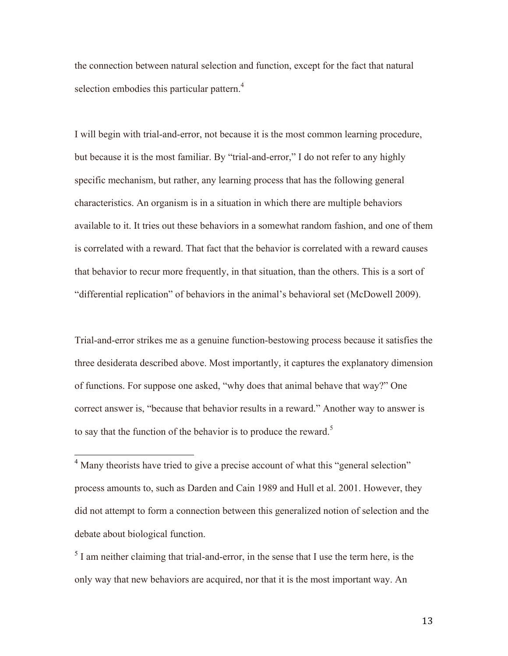the connection between natural selection and function, except for the fact that natural selection embodies this particular pattern.<sup>4</sup>

I will begin with trial-and-error, not because it is the most common learning procedure, but because it is the most familiar. By "trial-and-error," I do not refer to any highly specific mechanism, but rather, any learning process that has the following general characteristics. An organism is in a situation in which there are multiple behaviors available to it. It tries out these behaviors in a somewhat random fashion, and one of them is correlated with a reward. That fact that the behavior is correlated with a reward causes that behavior to recur more frequently, in that situation, than the others. This is a sort of "differential replication" of behaviors in the animal's behavioral set (McDowell 2009).

Trial-and-error strikes me as a genuine function-bestowing process because it satisfies the three desiderata described above. Most importantly, it captures the explanatory dimension of functions. For suppose one asked, "why does that animal behave that way?" One correct answer is, "because that behavior results in a reward." Another way to answer is to say that the function of the behavior is to produce the reward.<sup>5</sup>

<sup>4</sup> Many theorists have tried to give a precise account of what this "general selection" process amounts to, such as Darden and Cain 1989 and Hull et al. 2001. However, they did not attempt to form a connection between this generalized notion of selection and the debate about biological function.

 $<sup>5</sup>$  I am neither claiming that trial-and-error, in the sense that I use the term here, is the</sup> only way that new behaviors are acquired, nor that it is the most important way. An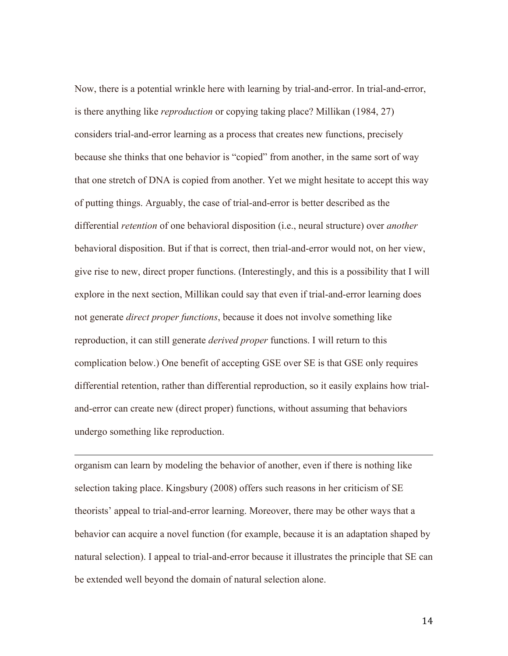Now, there is a potential wrinkle here with learning by trial-and-error. In trial-and-error, is there anything like *reproduction* or copying taking place? Millikan (1984, 27) considers trial-and-error learning as a process that creates new functions, precisely because she thinks that one behavior is "copied" from another, in the same sort of way that one stretch of DNA is copied from another. Yet we might hesitate to accept this way of putting things. Arguably, the case of trial-and-error is better described as the differential *retention* of one behavioral disposition (i.e., neural structure) over *another* behavioral disposition. But if that is correct, then trial-and-error would not, on her view, give rise to new, direct proper functions. (Interestingly, and this is a possibility that I will explore in the next section, Millikan could say that even if trial-and-error learning does not generate *direct proper functions*, because it does not involve something like reproduction, it can still generate *derived proper* functions. I will return to this complication below.) One benefit of accepting GSE over SE is that GSE only requires differential retention, rather than differential reproduction, so it easily explains how trialand-error can create new (direct proper) functions, without assuming that behaviors undergo something like reproduction.

organism can learn by modeling the behavior of another, even if there is nothing like selection taking place. Kingsbury (2008) offers such reasons in her criticism of SE theorists' appeal to trial-and-error learning. Moreover, there may be other ways that a behavior can acquire a novel function (for example, because it is an adaptation shaped by natural selection). I appeal to trial-and-error because it illustrates the principle that SE can be extended well beyond the domain of natural selection alone.

<u> 1989 - Andrea San Andrea San Andrea San Andrea San Andrea San Andrea San Andrea San Andrea San Andrea San An</u>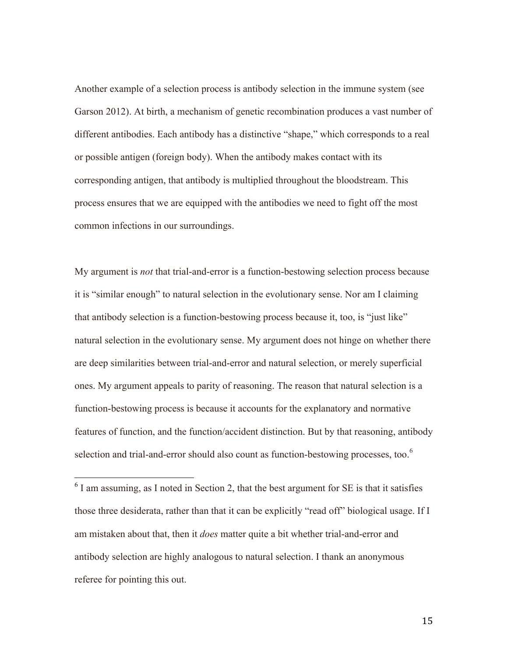Another example of a selection process is antibody selection in the immune system (see Garson 2012). At birth, a mechanism of genetic recombination produces a vast number of different antibodies. Each antibody has a distinctive "shape," which corresponds to a real or possible antigen (foreign body). When the antibody makes contact with its corresponding antigen, that antibody is multiplied throughout the bloodstream. This process ensures that we are equipped with the antibodies we need to fight off the most common infections in our surroundings.

My argument is *not* that trial-and-error is a function-bestowing selection process because it is "similar enough" to natural selection in the evolutionary sense. Nor am I claiming that antibody selection is a function-bestowing process because it, too, is "just like" natural selection in the evolutionary sense. My argument does not hinge on whether there are deep similarities between trial-and-error and natural selection, or merely superficial ones. My argument appeals to parity of reasoning. The reason that natural selection is a function-bestowing process is because it accounts for the explanatory and normative features of function, and the function/accident distinction. But by that reasoning, antibody selection and trial-and-error should also count as function-bestowing processes, too.<sup>6</sup>

 $6$  I am assuming, as I noted in Section 2, that the best argument for SE is that it satisfies those three desiderata, rather than that it can be explicitly "read off" biological usage. If I am mistaken about that, then it *does* matter quite a bit whether trial-and-error and antibody selection are highly analogous to natural selection. I thank an anonymous referee for pointing this out.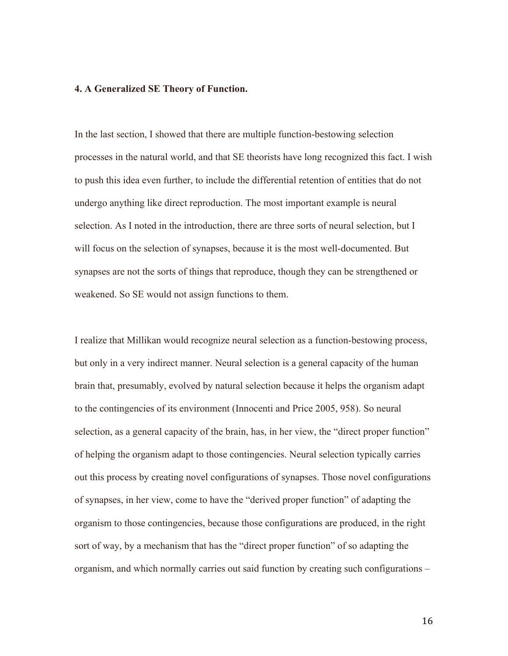## **4. A Generalized SE Theory of Function.**

In the last section, I showed that there are multiple function-bestowing selection processes in the natural world, and that SE theorists have long recognized this fact. I wish to push this idea even further, to include the differential retention of entities that do not undergo anything like direct reproduction. The most important example is neural selection. As I noted in the introduction, there are three sorts of neural selection, but I will focus on the selection of synapses, because it is the most well-documented. But synapses are not the sorts of things that reproduce, though they can be strengthened or weakened. So SE would not assign functions to them.

I realize that Millikan would recognize neural selection as a function-bestowing process, but only in a very indirect manner. Neural selection is a general capacity of the human brain that, presumably, evolved by natural selection because it helps the organism adapt to the contingencies of its environment (Innocenti and Price 2005, 958). So neural selection, as a general capacity of the brain, has, in her view, the "direct proper function" of helping the organism adapt to those contingencies. Neural selection typically carries out this process by creating novel configurations of synapses. Those novel configurations of synapses, in her view, come to have the "derived proper function" of adapting the organism to those contingencies, because those configurations are produced, in the right sort of way, by a mechanism that has the "direct proper function" of so adapting the organism, and which normally carries out said function by creating such configurations –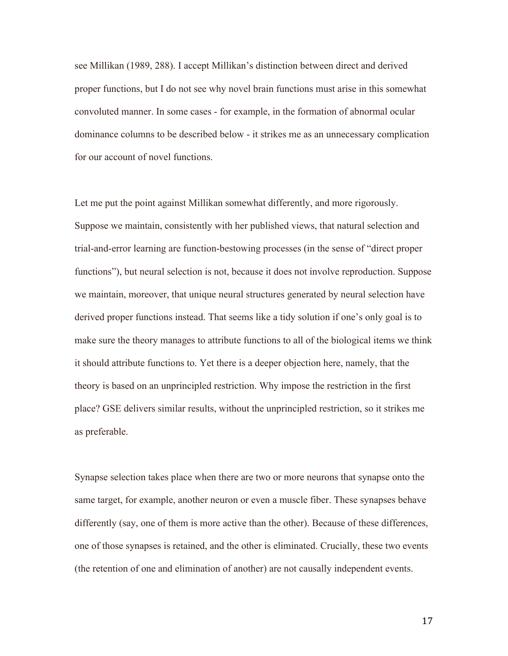see Millikan (1989, 288). I accept Millikan's distinction between direct and derived proper functions, but I do not see why novel brain functions must arise in this somewhat convoluted manner. In some cases - for example, in the formation of abnormal ocular dominance columns to be described below - it strikes me as an unnecessary complication for our account of novel functions.

Let me put the point against Millikan somewhat differently, and more rigorously. Suppose we maintain, consistently with her published views, that natural selection and trial-and-error learning are function-bestowing processes (in the sense of "direct proper functions"), but neural selection is not, because it does not involve reproduction. Suppose we maintain, moreover, that unique neural structures generated by neural selection have derived proper functions instead. That seems like a tidy solution if one's only goal is to make sure the theory manages to attribute functions to all of the biological items we think it should attribute functions to. Yet there is a deeper objection here, namely, that the theory is based on an unprincipled restriction. Why impose the restriction in the first place? GSE delivers similar results, without the unprincipled restriction, so it strikes me as preferable.

Synapse selection takes place when there are two or more neurons that synapse onto the same target, for example, another neuron or even a muscle fiber. These synapses behave differently (say, one of them is more active than the other). Because of these differences, one of those synapses is retained, and the other is eliminated. Crucially, these two events (the retention of one and elimination of another) are not causally independent events.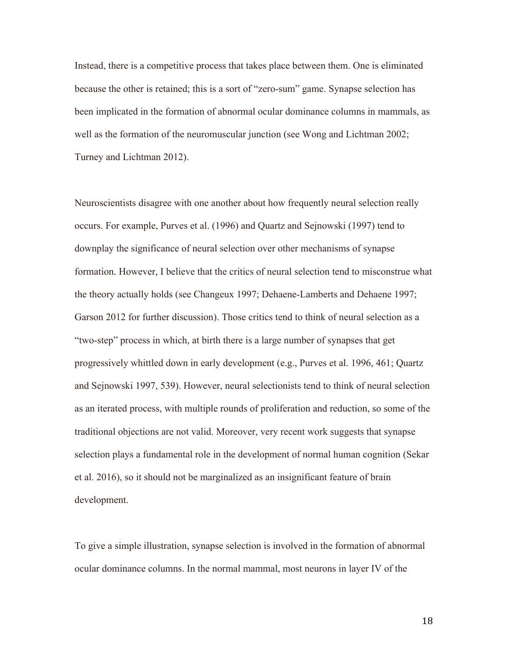Instead, there is a competitive process that takes place between them. One is eliminated because the other is retained; this is a sort of "zero-sum" game. Synapse selection has been implicated in the formation of abnormal ocular dominance columns in mammals, as well as the formation of the neuromuscular junction (see Wong and Lichtman 2002; Turney and Lichtman 2012).

Neuroscientists disagree with one another about how frequently neural selection really occurs. For example, Purves et al. (1996) and Quartz and Sejnowski (1997) tend to downplay the significance of neural selection over other mechanisms of synapse formation. However, I believe that the critics of neural selection tend to misconstrue what the theory actually holds (see Changeux 1997; Dehaene-Lamberts and Dehaene 1997; Garson 2012 for further discussion). Those critics tend to think of neural selection as a "two-step" process in which, at birth there is a large number of synapses that get progressively whittled down in early development (e.g., Purves et al. 1996, 461; Quartz and Sejnowski 1997, 539). However, neural selectionists tend to think of neural selection as an iterated process, with multiple rounds of proliferation and reduction, so some of the traditional objections are not valid. Moreover, very recent work suggests that synapse selection plays a fundamental role in the development of normal human cognition (Sekar et al. 2016), so it should not be marginalized as an insignificant feature of brain development.

To give a simple illustration, synapse selection is involved in the formation of abnormal ocular dominance columns. In the normal mammal, most neurons in layer IV of the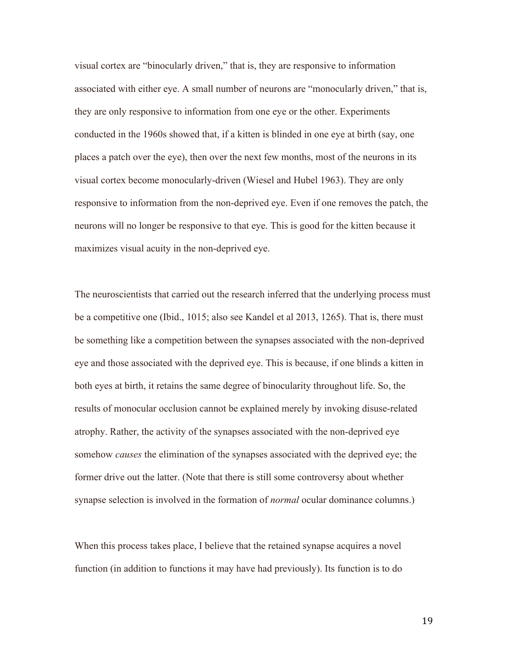visual cortex are "binocularly driven," that is, they are responsive to information associated with either eye. A small number of neurons are "monocularly driven," that is, they are only responsive to information from one eye or the other. Experiments conducted in the 1960s showed that, if a kitten is blinded in one eye at birth (say, one places a patch over the eye), then over the next few months, most of the neurons in its visual cortex become monocularly-driven (Wiesel and Hubel 1963). They are only responsive to information from the non-deprived eye. Even if one removes the patch, the neurons will no longer be responsive to that eye. This is good for the kitten because it maximizes visual acuity in the non-deprived eye.

The neuroscientists that carried out the research inferred that the underlying process must be a competitive one (Ibid., 1015; also see Kandel et al 2013, 1265). That is, there must be something like a competition between the synapses associated with the non-deprived eye and those associated with the deprived eye. This is because, if one blinds a kitten in both eyes at birth, it retains the same degree of binocularity throughout life. So, the results of monocular occlusion cannot be explained merely by invoking disuse-related atrophy. Rather, the activity of the synapses associated with the non-deprived eye somehow *causes* the elimination of the synapses associated with the deprived eye; the former drive out the latter. (Note that there is still some controversy about whether synapse selection is involved in the formation of *normal* ocular dominance columns.)

When this process takes place, I believe that the retained synapse acquires a novel function (in addition to functions it may have had previously). Its function is to do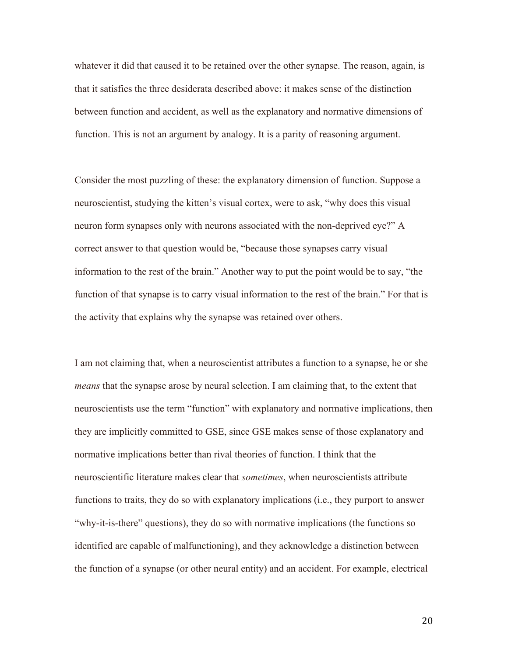whatever it did that caused it to be retained over the other synapse. The reason, again, is that it satisfies the three desiderata described above: it makes sense of the distinction between function and accident, as well as the explanatory and normative dimensions of function. This is not an argument by analogy. It is a parity of reasoning argument.

Consider the most puzzling of these: the explanatory dimension of function. Suppose a neuroscientist, studying the kitten's visual cortex, were to ask, "why does this visual neuron form synapses only with neurons associated with the non-deprived eye?" A correct answer to that question would be, "because those synapses carry visual information to the rest of the brain." Another way to put the point would be to say, "the function of that synapse is to carry visual information to the rest of the brain." For that is the activity that explains why the synapse was retained over others.

I am not claiming that, when a neuroscientist attributes a function to a synapse, he or she *means* that the synapse arose by neural selection. I am claiming that, to the extent that neuroscientists use the term "function" with explanatory and normative implications, then they are implicitly committed to GSE, since GSE makes sense of those explanatory and normative implications better than rival theories of function. I think that the neuroscientific literature makes clear that *sometimes*, when neuroscientists attribute functions to traits, they do so with explanatory implications (i.e., they purport to answer "why-it-is-there" questions), they do so with normative implications (the functions so identified are capable of malfunctioning), and they acknowledge a distinction between the function of a synapse (or other neural entity) and an accident. For example, electrical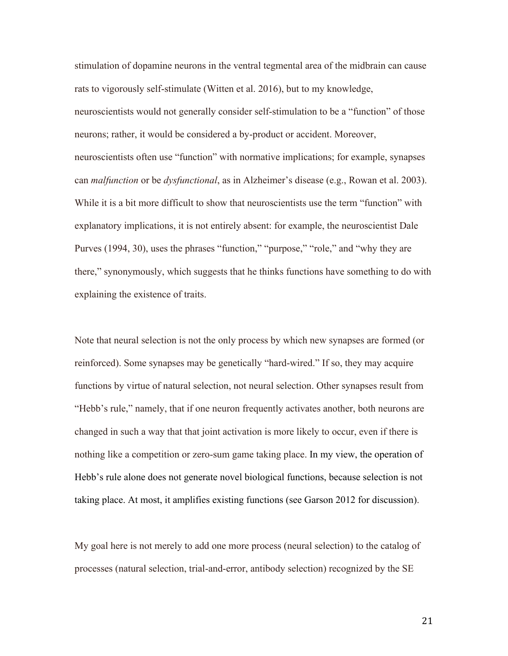stimulation of dopamine neurons in the ventral tegmental area of the midbrain can cause rats to vigorously self-stimulate (Witten et al. 2016), but to my knowledge, neuroscientists would not generally consider self-stimulation to be a "function" of those neurons; rather, it would be considered a by-product or accident. Moreover, neuroscientists often use "function" with normative implications; for example, synapses can *malfunction* or be *dysfunctional*, as in Alzheimer's disease (e.g., Rowan et al. 2003). While it is a bit more difficult to show that neuroscientists use the term "function" with explanatory implications, it is not entirely absent: for example, the neuroscientist Dale Purves (1994, 30), uses the phrases "function," "purpose," "role," and "why they are there," synonymously, which suggests that he thinks functions have something to do with explaining the existence of traits.

Note that neural selection is not the only process by which new synapses are formed (or reinforced). Some synapses may be genetically "hard-wired." If so, they may acquire functions by virtue of natural selection, not neural selection. Other synapses result from "Hebb's rule," namely, that if one neuron frequently activates another, both neurons are changed in such a way that that joint activation is more likely to occur, even if there is nothing like a competition or zero-sum game taking place. In my view, the operation of Hebb's rule alone does not generate novel biological functions, because selection is not taking place. At most, it amplifies existing functions (see Garson 2012 for discussion).

My goal here is not merely to add one more process (neural selection) to the catalog of processes (natural selection, trial-and-error, antibody selection) recognized by the SE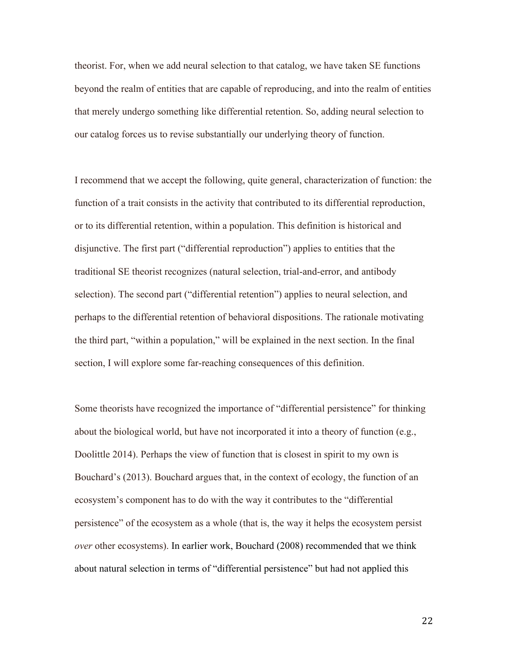theorist. For, when we add neural selection to that catalog, we have taken SE functions beyond the realm of entities that are capable of reproducing, and into the realm of entities that merely undergo something like differential retention. So, adding neural selection to our catalog forces us to revise substantially our underlying theory of function.

I recommend that we accept the following, quite general, characterization of function: the function of a trait consists in the activity that contributed to its differential reproduction, or to its differential retention, within a population. This definition is historical and disjunctive. The first part ("differential reproduction") applies to entities that the traditional SE theorist recognizes (natural selection, trial-and-error, and antibody selection). The second part ("differential retention") applies to neural selection, and perhaps to the differential retention of behavioral dispositions. The rationale motivating the third part, "within a population," will be explained in the next section. In the final section, I will explore some far-reaching consequences of this definition.

Some theorists have recognized the importance of "differential persistence" for thinking about the biological world, but have not incorporated it into a theory of function (e.g., Doolittle 2014). Perhaps the view of function that is closest in spirit to my own is Bouchard's (2013). Bouchard argues that, in the context of ecology, the function of an ecosystem's component has to do with the way it contributes to the "differential persistence" of the ecosystem as a whole (that is, the way it helps the ecosystem persist *over* other ecosystems). In earlier work, Bouchard (2008) recommended that we think about natural selection in terms of "differential persistence" but had not applied this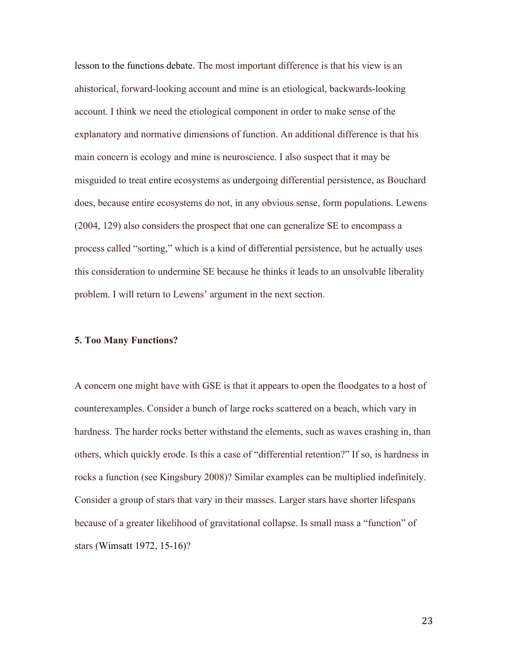lesson to the functions debate. The most important difference is that his view is an ahistorical, forward-looking account and mine is an etiological, backwards-looking account. I think we need the etiological component in order to make sense of the explanatory and normative dimensions of function. An additional difference is that his main concern is ecology and mine is neuroscience. I also suspect that it may be misguided to treat entire ecosystems as undergoing differential persistence, as Bouchard does, because entire ecosystems do not, in any obvious sense, form populations. Lewens (2004, 129) also considers the prospect that one can generalize SE to encompass a process called "sorting," which is a kind of differential persistence, but he actually uses this consideration to undermine SE because he thinks it leads to an unsolvable liberality problem. I will return to Lewens' argument in the next section.

#### **5. Too Many Functions?**

A concern one might have with GSE is that it appears to open the floodgates to a host of counterexamples. Consider a bunch of large rocks scattered on a beach, which vary in hardness. The harder rocks better withstand the elements, such as waves crashing in, than others, which quickly erode. Is this a case of "differential retention?" If so, is hardness in rocks a function (see Kingsbury 2008)? Similar examples can be multiplied indefinitely. Consider a group of stars that vary in their masses. Larger stars have shorter lifespans because of a greater likelihood of gravitational collapse. Is small mass a "function" of stars (Wimsatt 1972, 15-16)?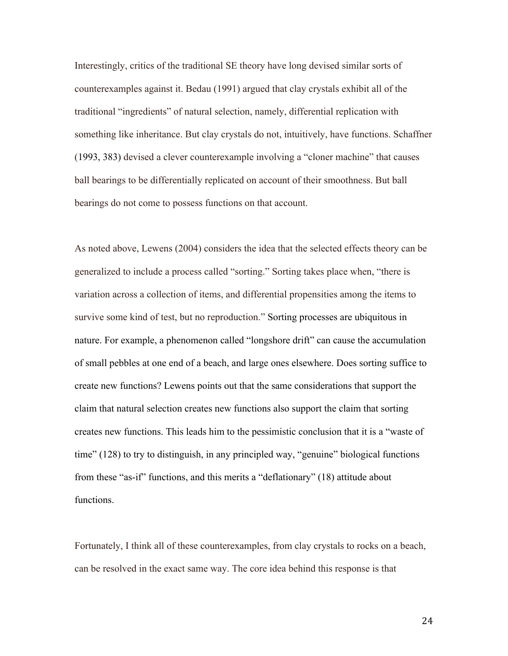Interestingly, critics of the traditional SE theory have long devised similar sorts of counterexamples against it. Bedau (1991) argued that clay crystals exhibit all of the traditional "ingredients" of natural selection, namely, differential replication with something like inheritance. But clay crystals do not, intuitively, have functions. Schaffner (1993, 383) devised a clever counterexample involving a "cloner machine" that causes ball bearings to be differentially replicated on account of their smoothness. But ball bearings do not come to possess functions on that account.

As noted above, Lewens (2004) considers the idea that the selected effects theory can be generalized to include a process called "sorting." Sorting takes place when, "there is variation across a collection of items, and differential propensities among the items to survive some kind of test, but no reproduction." Sorting processes are ubiquitous in nature. For example, a phenomenon called "longshore drift" can cause the accumulation of small pebbles at one end of a beach, and large ones elsewhere. Does sorting suffice to create new functions? Lewens points out that the same considerations that support the claim that natural selection creates new functions also support the claim that sorting creates new functions. This leads him to the pessimistic conclusion that it is a "waste of time" (128) to try to distinguish, in any principled way, "genuine" biological functions from these "as-if" functions, and this merits a "deflationary" (18) attitude about functions.

Fortunately, I think all of these counterexamples, from clay crystals to rocks on a beach, can be resolved in the exact same way. The core idea behind this response is that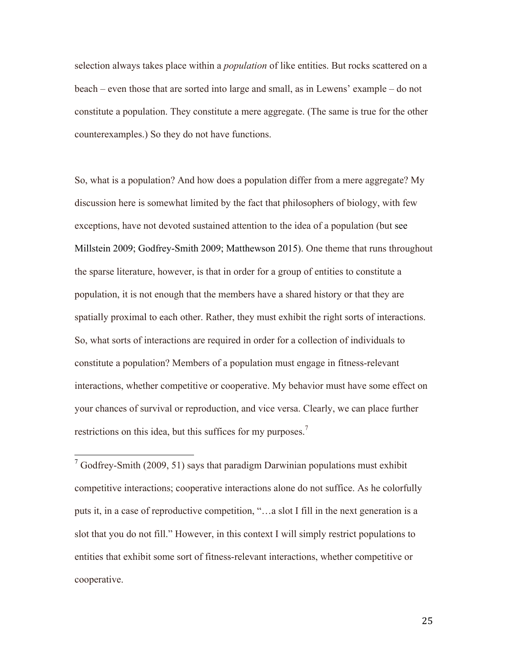selection always takes place within a *population* of like entities. But rocks scattered on a beach – even those that are sorted into large and small, as in Lewens' example – do not constitute a population. They constitute a mere aggregate. (The same is true for the other counterexamples.) So they do not have functions.

So, what is a population? And how does a population differ from a mere aggregate? My discussion here is somewhat limited by the fact that philosophers of biology, with few exceptions, have not devoted sustained attention to the idea of a population (but see Millstein 2009; Godfrey-Smith 2009; Matthewson 2015). One theme that runs throughout the sparse literature, however, is that in order for a group of entities to constitute a population, it is not enough that the members have a shared history or that they are spatially proximal to each other. Rather, they must exhibit the right sorts of interactions. So, what sorts of interactions are required in order for a collection of individuals to constitute a population? Members of a population must engage in fitness-relevant interactions, whether competitive or cooperative. My behavior must have some effect on your chances of survival or reproduction, and vice versa. Clearly, we can place further restrictions on this idea, but this suffices for my purposes.<sup>7</sup>

 $7$  Godfrey-Smith (2009, 51) says that paradigm Darwinian populations must exhibit competitive interactions; cooperative interactions alone do not suffice. As he colorfully puts it, in a case of reproductive competition, "…a slot I fill in the next generation is a slot that you do not fill." However, in this context I will simply restrict populations to entities that exhibit some sort of fitness-relevant interactions, whether competitive or cooperative.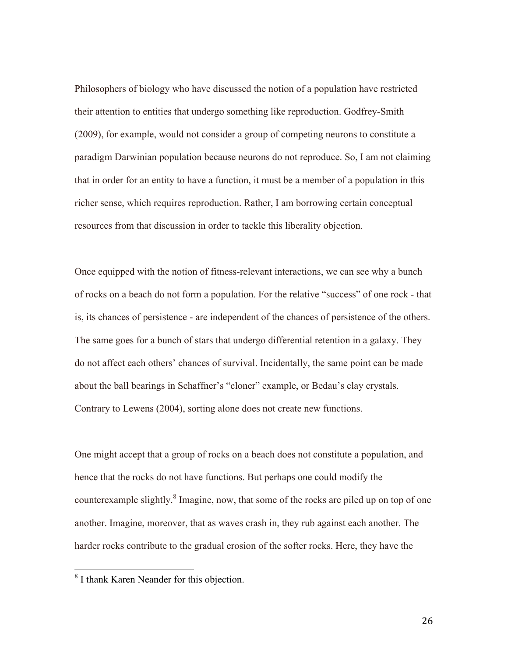Philosophers of biology who have discussed the notion of a population have restricted their attention to entities that undergo something like reproduction. Godfrey-Smith (2009), for example, would not consider a group of competing neurons to constitute a paradigm Darwinian population because neurons do not reproduce. So, I am not claiming that in order for an entity to have a function, it must be a member of a population in this richer sense, which requires reproduction. Rather, I am borrowing certain conceptual resources from that discussion in order to tackle this liberality objection.

Once equipped with the notion of fitness-relevant interactions, we can see why a bunch of rocks on a beach do not form a population. For the relative "success" of one rock - that is, its chances of persistence - are independent of the chances of persistence of the others. The same goes for a bunch of stars that undergo differential retention in a galaxy. They do not affect each others' chances of survival. Incidentally, the same point can be made about the ball bearings in Schaffner's "cloner" example, or Bedau's clay crystals. Contrary to Lewens (2004), sorting alone does not create new functions.

One might accept that a group of rocks on a beach does not constitute a population, and hence that the rocks do not have functions. But perhaps one could modify the counterexample slightly.<sup>8</sup> Imagine, now, that some of the rocks are piled up on top of one another. Imagine, moreover, that as waves crash in, they rub against each another. The harder rocks contribute to the gradual erosion of the softer rocks. Here, they have the

<sup>&</sup>lt;sup>8</sup> I thank Karen Neander for this objection.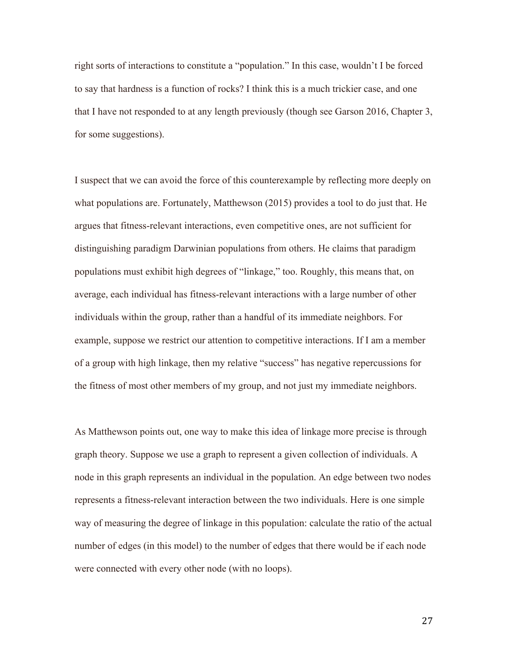right sorts of interactions to constitute a "population." In this case, wouldn't I be forced to say that hardness is a function of rocks? I think this is a much trickier case, and one that I have not responded to at any length previously (though see Garson 2016, Chapter 3, for some suggestions).

I suspect that we can avoid the force of this counterexample by reflecting more deeply on what populations are. Fortunately, Matthewson (2015) provides a tool to do just that. He argues that fitness-relevant interactions, even competitive ones, are not sufficient for distinguishing paradigm Darwinian populations from others. He claims that paradigm populations must exhibit high degrees of "linkage," too. Roughly, this means that, on average, each individual has fitness-relevant interactions with a large number of other individuals within the group, rather than a handful of its immediate neighbors. For example, suppose we restrict our attention to competitive interactions. If I am a member of a group with high linkage, then my relative "success" has negative repercussions for the fitness of most other members of my group, and not just my immediate neighbors.

As Matthewson points out, one way to make this idea of linkage more precise is through graph theory. Suppose we use a graph to represent a given collection of individuals. A node in this graph represents an individual in the population. An edge between two nodes represents a fitness-relevant interaction between the two individuals. Here is one simple way of measuring the degree of linkage in this population: calculate the ratio of the actual number of edges (in this model) to the number of edges that there would be if each node were connected with every other node (with no loops).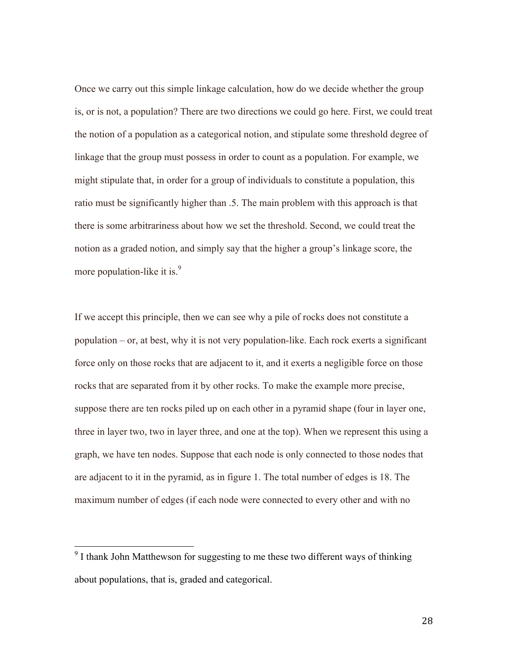Once we carry out this simple linkage calculation, how do we decide whether the group is, or is not, a population? There are two directions we could go here. First, we could treat the notion of a population as a categorical notion, and stipulate some threshold degree of linkage that the group must possess in order to count as a population. For example, we might stipulate that, in order for a group of individuals to constitute a population, this ratio must be significantly higher than .5. The main problem with this approach is that there is some arbitrariness about how we set the threshold. Second, we could treat the notion as a graded notion, and simply say that the higher a group's linkage score, the more population-like it is. $\frac{9}{2}$ 

If we accept this principle, then we can see why a pile of rocks does not constitute a population – or, at best, why it is not very population-like. Each rock exerts a significant force only on those rocks that are adjacent to it, and it exerts a negligible force on those rocks that are separated from it by other rocks. To make the example more precise, suppose there are ten rocks piled up on each other in a pyramid shape (four in layer one, three in layer two, two in layer three, and one at the top). When we represent this using a graph, we have ten nodes. Suppose that each node is only connected to those nodes that are adjacent to it in the pyramid, as in figure 1. The total number of edges is 18. The maximum number of edges (if each node were connected to every other and with no

<sup>&</sup>lt;sup>9</sup> I thank John Matthewson for suggesting to me these two different ways of thinking about populations, that is, graded and categorical.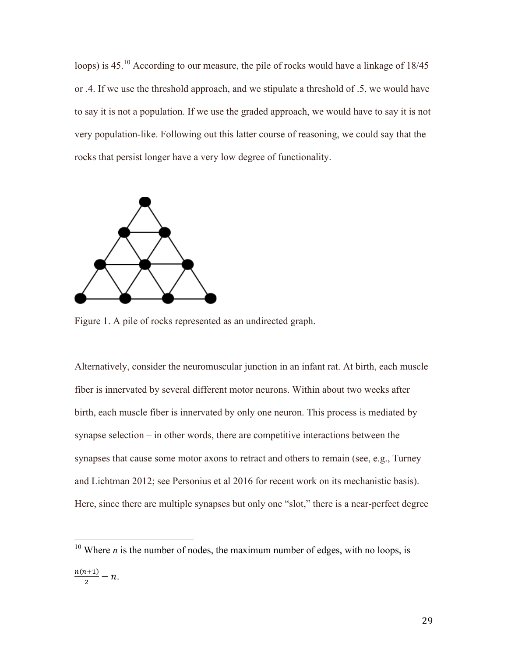loops) is 45.<sup>10</sup> According to our measure, the pile of rocks would have a linkage of 18/45 or .4. If we use the threshold approach, and we stipulate a threshold of .5, we would have to say it is not a population. If we use the graded approach, we would have to say it is not very population-like. Following out this latter course of reasoning, we could say that the rocks that persist longer have a very low degree of functionality.



Figure 1. A pile of rocks represented as an undirected graph.

Alternatively, consider the neuromuscular junction in an infant rat. At birth, each muscle fiber is innervated by several different motor neurons. Within about two weeks after birth, each muscle fiber is innervated by only one neuron. This process is mediated by synapse selection – in other words, there are competitive interactions between the synapses that cause some motor axons to retract and others to remain (see, e.g., Turney and Lichtman 2012; see Personius et al 2016 for recent work on its mechanistic basis). Here, since there are multiple synapses but only one "slot," there is a near-perfect degree

<sup>&</sup>lt;sup>10</sup> Where *n* is the number of nodes, the maximum number of edges, with no loops, is  $\frac{n(n+1)}{2} - n.$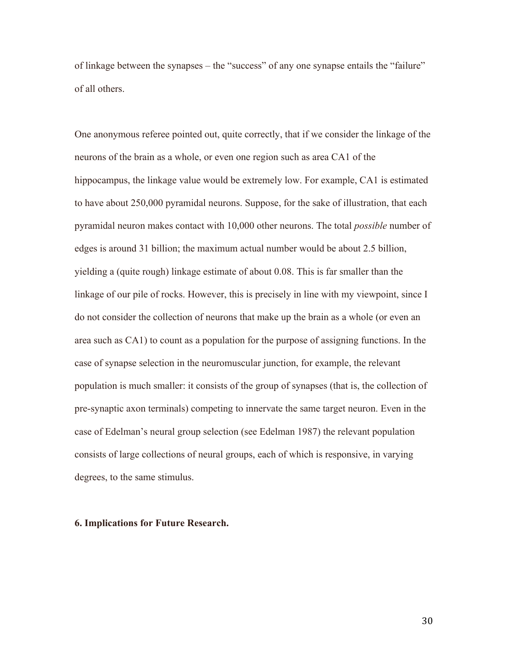of linkage between the synapses – the "success" of any one synapse entails the "failure" of all others.

One anonymous referee pointed out, quite correctly, that if we consider the linkage of the neurons of the brain as a whole, or even one region such as area CA1 of the hippocampus, the linkage value would be extremely low. For example, CA1 is estimated to have about 250,000 pyramidal neurons. Suppose, for the sake of illustration, that each pyramidal neuron makes contact with 10,000 other neurons. The total *possible* number of edges is around 31 billion; the maximum actual number would be about 2.5 billion, yielding a (quite rough) linkage estimate of about 0.08. This is far smaller than the linkage of our pile of rocks. However, this is precisely in line with my viewpoint, since I do not consider the collection of neurons that make up the brain as a whole (or even an area such as CA1) to count as a population for the purpose of assigning functions. In the case of synapse selection in the neuromuscular junction, for example, the relevant population is much smaller: it consists of the group of synapses (that is, the collection of pre-synaptic axon terminals) competing to innervate the same target neuron. Even in the case of Edelman's neural group selection (see Edelman 1987) the relevant population consists of large collections of neural groups, each of which is responsive, in varying degrees, to the same stimulus.

#### **6. Implications for Future Research.**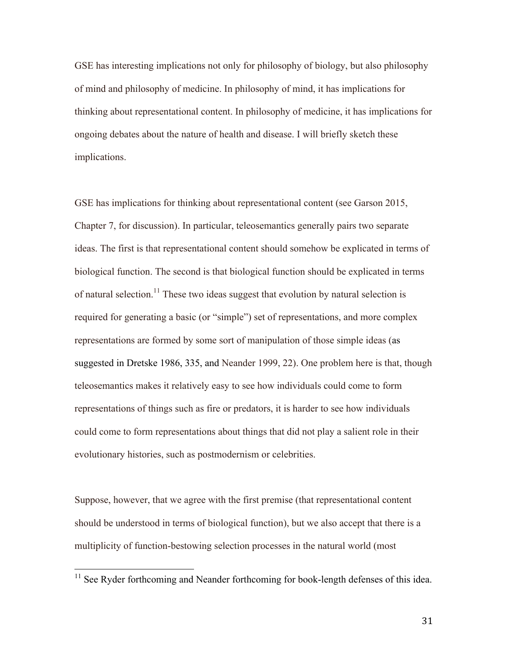GSE has interesting implications not only for philosophy of biology, but also philosophy of mind and philosophy of medicine. In philosophy of mind, it has implications for thinking about representational content. In philosophy of medicine, it has implications for ongoing debates about the nature of health and disease. I will briefly sketch these implications.

GSE has implications for thinking about representational content (see Garson 2015, Chapter 7, for discussion). In particular, teleosemantics generally pairs two separate ideas. The first is that representational content should somehow be explicated in terms of biological function. The second is that biological function should be explicated in terms of natural selection.<sup>11</sup> These two ideas suggest that evolution by natural selection is required for generating a basic (or "simple") set of representations, and more complex representations are formed by some sort of manipulation of those simple ideas (as suggested in Dretske 1986, 335, and Neander 1999, 22). One problem here is that, though teleosemantics makes it relatively easy to see how individuals could come to form representations of things such as fire or predators, it is harder to see how individuals could come to form representations about things that did not play a salient role in their evolutionary histories, such as postmodernism or celebrities.

Suppose, however, that we agree with the first premise (that representational content should be understood in terms of biological function), but we also accept that there is a multiplicity of function-bestowing selection processes in the natural world (most

<sup>&</sup>lt;sup>11</sup> See Ryder forthcoming and Neander forthcoming for book-length defenses of this idea.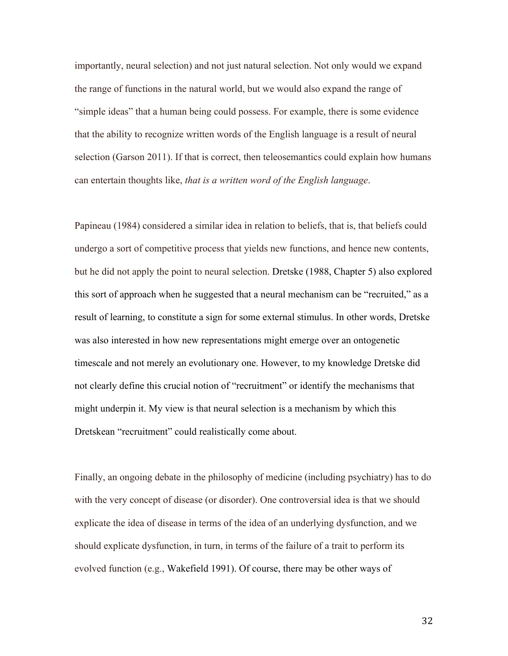importantly, neural selection) and not just natural selection. Not only would we expand the range of functions in the natural world, but we would also expand the range of "simple ideas" that a human being could possess. For example, there is some evidence that the ability to recognize written words of the English language is a result of neural selection (Garson 2011). If that is correct, then teleosemantics could explain how humans can entertain thoughts like, *that is a written word of the English language*.

Papineau (1984) considered a similar idea in relation to beliefs, that is, that beliefs could undergo a sort of competitive process that yields new functions, and hence new contents, but he did not apply the point to neural selection. Dretske (1988, Chapter 5) also explored this sort of approach when he suggested that a neural mechanism can be "recruited," as a result of learning, to constitute a sign for some external stimulus. In other words, Dretske was also interested in how new representations might emerge over an ontogenetic timescale and not merely an evolutionary one. However, to my knowledge Dretske did not clearly define this crucial notion of "recruitment" or identify the mechanisms that might underpin it. My view is that neural selection is a mechanism by which this Dretskean "recruitment" could realistically come about.

Finally, an ongoing debate in the philosophy of medicine (including psychiatry) has to do with the very concept of disease (or disorder). One controversial idea is that we should explicate the idea of disease in terms of the idea of an underlying dysfunction, and we should explicate dysfunction, in turn, in terms of the failure of a trait to perform its evolved function (e.g., Wakefield 1991). Of course, there may be other ways of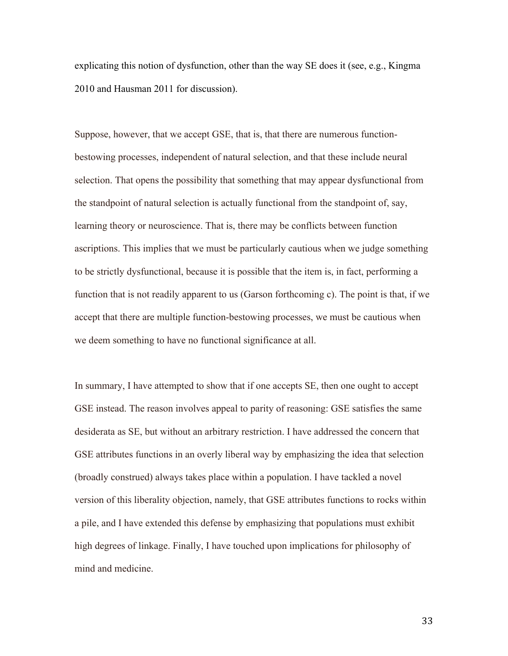explicating this notion of dysfunction, other than the way SE does it (see, e.g., Kingma 2010 and Hausman 2011 for discussion).

Suppose, however, that we accept GSE, that is, that there are numerous functionbestowing processes, independent of natural selection, and that these include neural selection. That opens the possibility that something that may appear dysfunctional from the standpoint of natural selection is actually functional from the standpoint of, say, learning theory or neuroscience. That is, there may be conflicts between function ascriptions. This implies that we must be particularly cautious when we judge something to be strictly dysfunctional, because it is possible that the item is, in fact, performing a function that is not readily apparent to us (Garson forthcoming c). The point is that, if we accept that there are multiple function-bestowing processes, we must be cautious when we deem something to have no functional significance at all.

In summary, I have attempted to show that if one accepts SE, then one ought to accept GSE instead. The reason involves appeal to parity of reasoning: GSE satisfies the same desiderata as SE, but without an arbitrary restriction. I have addressed the concern that GSE attributes functions in an overly liberal way by emphasizing the idea that selection (broadly construed) always takes place within a population. I have tackled a novel version of this liberality objection, namely, that GSE attributes functions to rocks within a pile, and I have extended this defense by emphasizing that populations must exhibit high degrees of linkage. Finally, I have touched upon implications for philosophy of mind and medicine.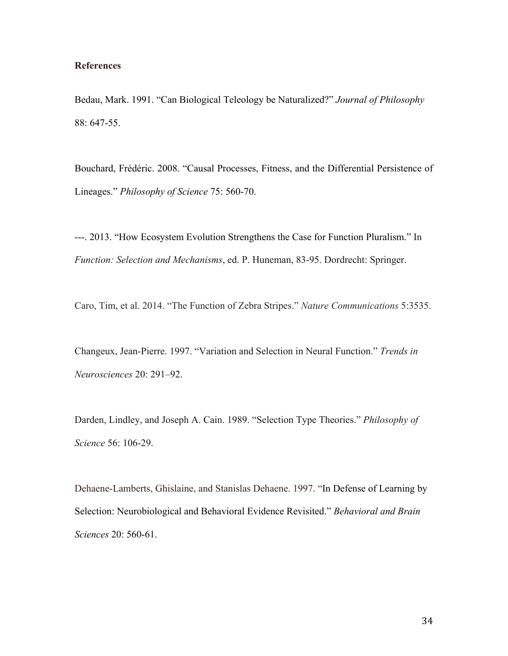# **References**

Bedau, Mark. 1991. "Can Biological Teleology be Naturalized?" *Journal of Philosophy* 88: 647-55.

Bouchard, Frédéric. 2008. "Causal Processes, Fitness, and the Differential Persistence of Lineages." *Philosophy of Science* 75: 560-70.

---. 2013. "How Ecosystem Evolution Strengthens the Case for Function Pluralism." In *Function: Selection and Mechanisms*, ed. P. Huneman, 83-95. Dordrecht: Springer.

Caro, Tim, et al. 2014. "The Function of Zebra Stripes." *Nature Communications* 5:3535.

Changeux, Jean-Pierre. 1997. "Variation and Selection in Neural Function." *Trends in Neurosciences* 20: 291–92.

Darden, Lindley, and Joseph A. Cain. 1989. "Selection Type Theories." *Philosophy of Science* 56: 106-29.

Dehaene-Lamberts, Ghislaine, and Stanislas Dehaene. 1997. "In Defense of Learning by Selection: Neurobiological and Behavioral Evidence Revisited." *Behavioral and Brain Sciences* 20: 560-61.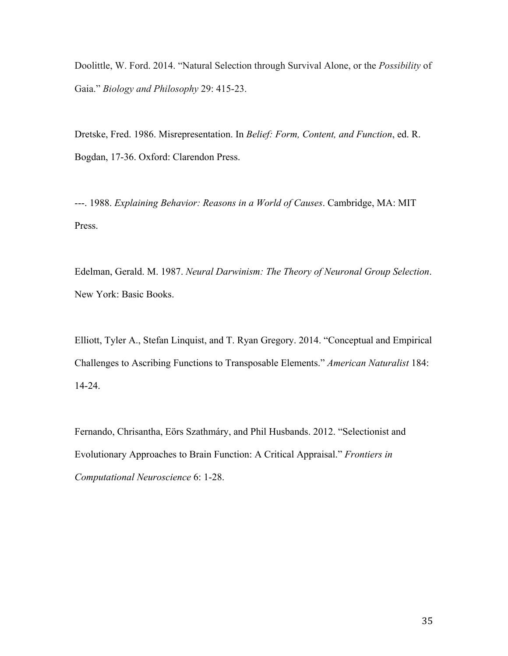Doolittle, W. Ford. 2014. "Natural Selection through Survival Alone, or the *Possibility* of Gaia." *Biology and Philosophy* 29: 415-23.

Dretske, Fred. 1986. Misrepresentation. In *Belief: Form, Content, and Function*, ed. R. Bogdan, 17-36. Oxford: Clarendon Press.

---. 1988. *Explaining Behavior: Reasons in a World of Causes*. Cambridge, MA: MIT Press.

Edelman, Gerald. M. 1987. *Neural Darwinism: The Theory of Neuronal Group Selection*. New York: Basic Books.

Elliott, Tyler A., Stefan Linquist, and T. Ryan Gregory. 2014. "Conceptual and Empirical Challenges to Ascribing Functions to Transposable Elements." *American Naturalist* 184: 14-24.

Fernando, Chrisantha, Eörs Szathmáry, and Phil Husbands. 2012. "Selectionist and Evolutionary Approaches to Brain Function: A Critical Appraisal." *Frontiers in Computational Neuroscience* 6: 1-28.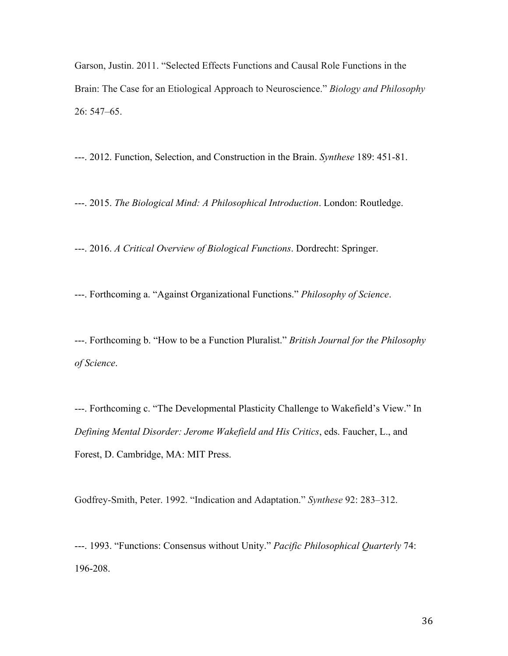Garson, Justin. 2011. "Selected Effects Functions and Causal Role Functions in the Brain: The Case for an Etiological Approach to Neuroscience." *Biology and Philosophy* 26: 547–65.

---. 2012. Function, Selection, and Construction in the Brain. *Synthese* 189: 451-81.

---. 2015. *The Biological Mind: A Philosophical Introduction*. London: Routledge.

---. 2016. *A Critical Overview of Biological Functions*. Dordrecht: Springer.

---. Forthcoming a. "Against Organizational Functions." *Philosophy of Science*.

---. Forthcoming b. "How to be a Function Pluralist." *British Journal for the Philosophy of Science*.

---. Forthcoming c. "The Developmental Plasticity Challenge to Wakefield's View." In *Defining Mental Disorder: Jerome Wakefield and His Critics*, eds. Faucher, L., and Forest, D. Cambridge, MA: MIT Press.

Godfrey-Smith, Peter. 1992. "Indication and Adaptation." *Synthese* 92: 283–312.

---. 1993. "Functions: Consensus without Unity." *Pacific Philosophical Quarterly* 74: 196-208.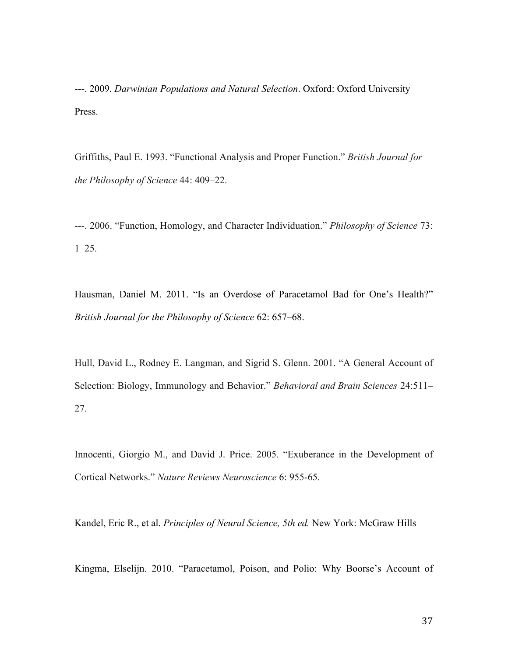---. 2009. *Darwinian Populations and Natural Selection*. Oxford: Oxford University Press.

Griffiths, Paul E. 1993. "Functional Analysis and Proper Function." *British Journal for the Philosophy of Science* 44: 409–22.

---. 2006. "Function, Homology, and Character Individuation." *Philosophy of Science* 73: 1–25.

Hausman, Daniel M. 2011. "Is an Overdose of Paracetamol Bad for One's Health?" *British Journal for the Philosophy of Science* 62: 657–68.

Hull, David L., Rodney E. Langman, and Sigrid S. Glenn. 2001. "A General Account of Selection: Biology, Immunology and Behavior." *Behavioral and Brain Sciences* 24:511– 27.

Innocenti, Giorgio M., and David J. Price. 2005. "Exuberance in the Development of Cortical Networks." *Nature Reviews Neuroscience* 6: 955-65.

Kandel, Eric R., et al. *Principles of Neural Science, 5th ed.* New York: McGraw Hills

Kingma, Elselijn. 2010. "Paracetamol, Poison, and Polio: Why Boorse's Account of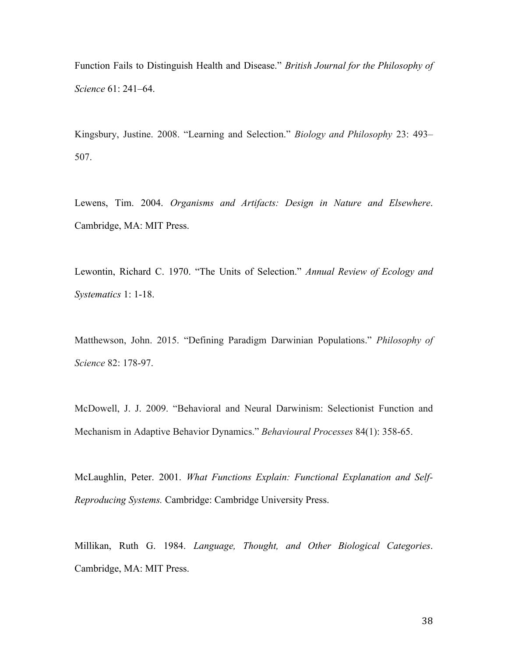Function Fails to Distinguish Health and Disease." *British Journal for the Philosophy of Science* 61: 241–64.

Kingsbury, Justine. 2008. "Learning and Selection." *Biology and Philosophy* 23: 493– 507.

Lewens, Tim. 2004. *Organisms and Artifacts: Design in Nature and Elsewhere*. Cambridge, MA: MIT Press.

Lewontin, Richard C. 1970. "The Units of Selection." *Annual Review of Ecology and Systematics* 1: 1-18.

Matthewson, John. 2015. "Defining Paradigm Darwinian Populations." *Philosophy of Science* 82: 178-97.

McDowell, J. J. 2009. "Behavioral and Neural Darwinism: Selectionist Function and Mechanism in Adaptive Behavior Dynamics." *Behavioural Processes* 84(1): 358-65.

McLaughlin, Peter. 2001. *What Functions Explain: Functional Explanation and Self-Reproducing Systems.* Cambridge: Cambridge University Press.

Millikan, Ruth G. 1984. *Language, Thought, and Other Biological Categories*. Cambridge, MA: MIT Press.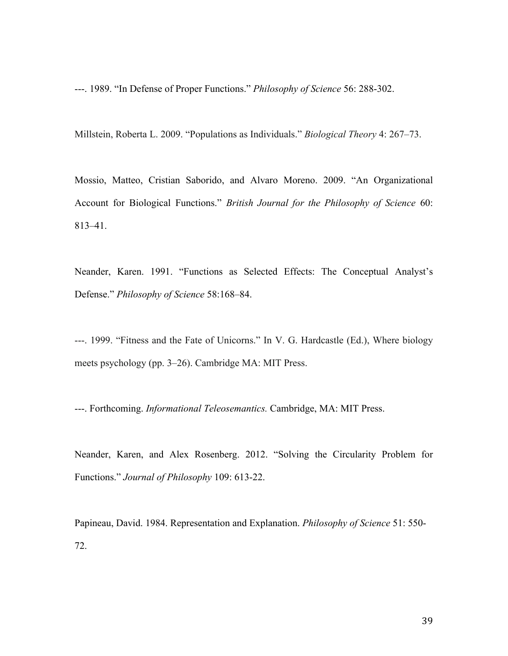---. 1989. "In Defense of Proper Functions." *Philosophy of Science* 56: 288-302.

Millstein, Roberta L. 2009. "Populations as Individuals." *Biological Theory* 4: 267–73.

Mossio, Matteo, Cristian Saborido, and Alvaro Moreno. 2009. "An Organizational Account for Biological Functions." *British Journal for the Philosophy of Science* 60: 813–41.

Neander, Karen. 1991. "Functions as Selected Effects: The Conceptual Analyst's Defense." *Philosophy of Science* 58:168–84.

---. 1999. "Fitness and the Fate of Unicorns." In V. G. Hardcastle (Ed.), Where biology meets psychology (pp. 3–26). Cambridge MA: MIT Press.

---. Forthcoming. *Informational Teleosemantics.* Cambridge, MA: MIT Press.

Neander, Karen, and Alex Rosenberg. 2012. "Solving the Circularity Problem for Functions." *Journal of Philosophy* 109: 613-22.

Papineau, David. 1984. Representation and Explanation. *Philosophy of Science* 51: 550- 72.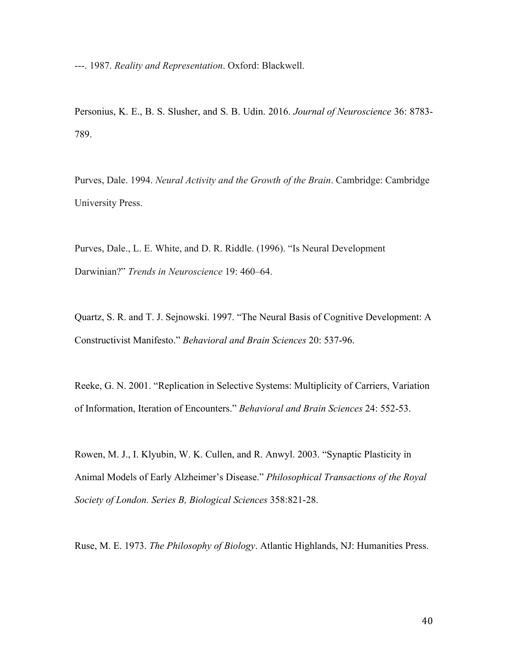---. 1987. *Reality and Representation*. Oxford: Blackwell.

Personius, K. E., B. S. Slusher, and S. B. Udin. 2016. *Journal of Neuroscience* 36: 8783- 789.

Purves, Dale. 1994. *Neural Activity and the Growth of the Brain*. Cambridge: Cambridge University Press.

Purves, Dale., L. E. White, and D. R. Riddle. (1996). "Is Neural Development Darwinian?" *Trends in Neuroscience* 19: 460–64.

Quartz, S. R. and T. J. Sejnowski. 1997. "The Neural Basis of Cognitive Development: A Constructivist Manifesto." *Behavioral and Brain Sciences* 20: 537-96.

Reeke, G. N. 2001. "Replication in Selective Systems: Multiplicity of Carriers, Variation of Information, Iteration of Encounters." *Behavioral and Brain Sciences* 24: 552-53.

Rowen, M. J., I. Klyubin, W. K. Cullen, and R. Anwyl. 2003. "Synaptic Plasticity in Animal Models of Early Alzheimer's Disease." *Philosophical Transactions of the Royal Society of London. Series B, Biological Sciences* 358:821-28.

Ruse, M. E. 1973. *The Philosophy of Biology*. Atlantic Highlands, NJ: Humanities Press.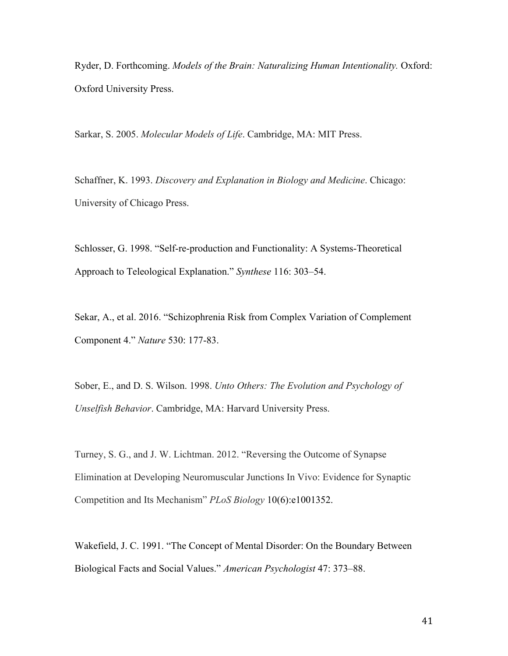Ryder, D. Forthcoming. *Models of the Brain: Naturalizing Human Intentionality.* Oxford: Oxford University Press.

Sarkar, S. 2005. *Molecular Models of Life*. Cambridge, MA: MIT Press.

Schaffner, K. 1993. *Discovery and Explanation in Biology and Medicine*. Chicago: University of Chicago Press.

Schlosser, G. 1998. "Self-re-production and Functionality: A Systems-Theoretical Approach to Teleological Explanation." *Synthese* 116: 303–54.

Sekar, A., et al. 2016. "Schizophrenia Risk from Complex Variation of Complement Component 4." *Nature* 530: 177-83.

Sober, E., and D. S. Wilson. 1998. *Unto Others: The Evolution and Psychology of Unselfish Behavior*. Cambridge, MA: Harvard University Press.

Turney, S. G., and J. W. Lichtman. 2012. "Reversing the Outcome of Synapse Elimination at Developing Neuromuscular Junctions In Vivo: Evidence for Synaptic Competition and Its Mechanism" *PLoS Biology* 10(6):e1001352.

Wakefield, J. C. 1991. "The Concept of Mental Disorder: On the Boundary Between Biological Facts and Social Values." *American Psychologist* 47: 373–88.